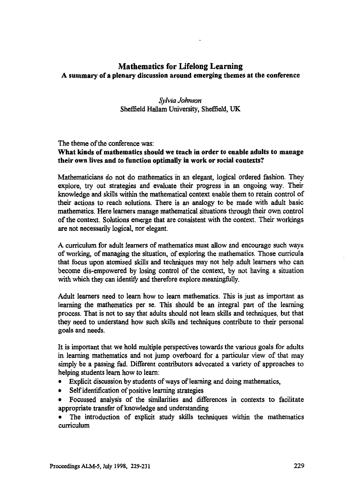# **Mathematics for Lifelong Learning A summary of a plenary discussion around emerging themes at the conference**

## *Sylvia Johnson* **Sheffield Hallam University, Sheffield, UK**

## **The theme of the conference was: What kinds of mathematics should we teach in order to enable adults to manage their own lives and to function optimally in work or social contexts?**

**Mathematicians do not do mathematics in an elegant, logical ordered fashion. They explore, try out strategies and evaluate their progress in an ongoing way. Their knowledge and skills within the mathematical context enable them to retain control of their actions to reach solutions. There is an analogy to be made with adult basic mathematics. Here learners manage mathematical situations through their own control of the context. Solutions emerge that are consistent with the context. Their workings are not necessarily logical, nor elegant.**

**A curriculum for adult learners of mathematics must allow and encourage such ways of working, of managing the situation, of exploring the mathematics. Those curricula that focus upon atomised skills and techniques may not help adult learners who can become dis-empowered by losing control of the context, by not having a situation with which they can identify and therefore explore meaningfully.**

**Adult learners need to learn how to learn mathematics. This is just as important as learning the mathematics per se. This should be an integral part of the learning process. That is not to say that adults should not learn skills and techniques, but that they need to understand how such skills and techniques contribute to their personal goals and needs.**

**It is important that we hold multiple perspectives towards the various goals for adults in learning mathematics and not jump overboard for a particular view of that may simply be a passing fad. Different contributors advocated a variety of approaches to helping students learn how to learn:**

- **• Explicit discussion by students of ways of learning and doing mathematics,**
- **• Self identification of positive learning strategies**
- **• Focussed analysis of the similarities and differences in contexts to facilitate appropriate transfer of knowledge and understanding**

**• The introduction of explicit study skills techniques within the mathematics curriculum**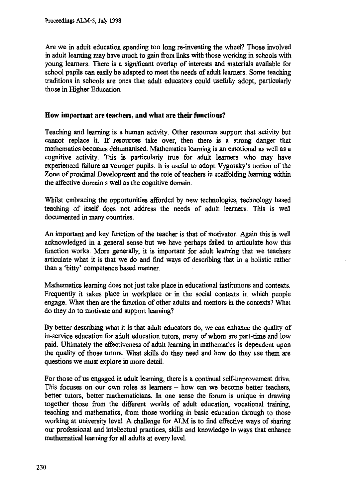Are we in adult education spending too long re-inventing the wheel? Those involved in adult learning may have much to gain from links with those working in schools with young learners. There is a significant overlap of interests and materials available for school pupils can easily be adapted to meet the needs of adult learners. Some teaching traditions in schools are ones that adult educators could usefully adopt, particularly those in Higher Education.

### **How important are teachers, and what are their functions?**

Teaching and learning is a human activity. Other resources support that activity but cannot replace it. If resources take over, then there is a strong danger that mathematics becomes dehumanised. Mathematics learning is an emotional as well as a cognitive activity. This is particularly true for adult learners who may have experienced failure as younger pupils. It is useful to adopt Vygotsky's notion of the Zone of proximal Development and the role of teachers in scaffolding learning within the affective domain s well as the cognitive domain.

Whilst embracing the opportunities afforded by new technologies, technology based teaching of itself does not address the needs of adult learners. This is well documented in many countries.

An important and key function of the teacher is that of motivator. Again this is well acknowledged in a general sense but we have perhaps failed to articulate how this function works. More generally, it is important for adult learning that we teachers articulate what it is that we do and find ways of describing that in a holistic rather than a 'bitty' competence based manner.

Mathematics learning does not just take place in educational institutions and contexts. Frequently it takes place in workplace or in the social contexts in which people engage. What then are the function of other adults and mentors in the contexts? What do they do to motivate and support learning?

By better describing what it is that adult educators do, we can enhance the quality of in-service education for adult education tutors, many of whom are part-time and low paid. Ultimately the effectiveness of adult learning in mathematics is dependent upon the quality of those tutors. What skills do they need and how do they use them are questions we must explore in more detail.

For those of us engaged in adult learning, there is a continual self-improvement drive. This focuses on our own roles as learners — how can we become better teachers, better tutors, better mathematicians. In one sense the forum is unique in drawing together those from the different worlds of adult education, vocational training, teaching and mathematics, from those working in basic education through to those working at university level. A challenge for ALM is to find effective ways of sharing our professional and intellectual practices, skills and knowledge in ways that enhance mathematical learning for all adults at every level.